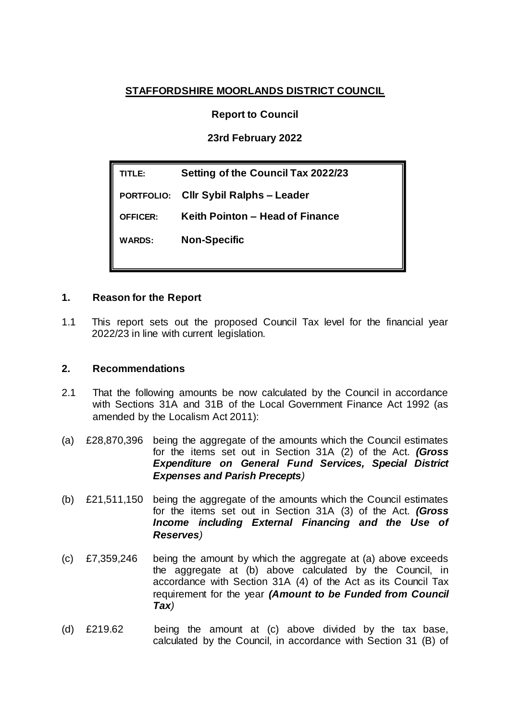### **STAFFORDSHIRE MOORLANDS DISTRICT COUNCIL**

**Report to Council**

**23rd February 2022**

**TITLE: Setting of the Council Tax 2022/23 PORTFOLIO: Cllr Sybil Ralphs – Leader OFFICER: Keith Pointon – Head of Finance WARDS: Non-Specific**

#### **1. Reason for the Report**

1.1 This report sets out the proposed Council Tax level for the financial year 2022/23 in line with current legislation.

#### **2. Recommendations**

- 2.1 That the following amounts be now calculated by the Council in accordance with Sections 31A and 31B of the Local Government Finance Act 1992 (as amended by the Localism Act 2011):
- (a) £28,870,396 being the aggregate of the amounts which the Council estimates for the items set out in Section 31A (2) of the Act. *(Gross Expenditure on General Fund Services, Special District Expenses and Parish Precepts)*
- (b) £21,511,150 being the aggregate of the amounts which the Council estimates for the items set out in Section 31A (3) of the Act. *(Gross Income including External Financing and the Use of Reserves)*
- (c) £7,359,246 being the amount by which the aggregate at (a) above exceeds the aggregate at (b) above calculated by the Council, in accordance with Section 31A (4) of the Act as its Council Tax requirement for the year *(Amount to be Funded from Council Tax)*
- (d) £219.62 being the amount at (c) above divided by the tax base, calculated by the Council, in accordance with Section 31 (B) of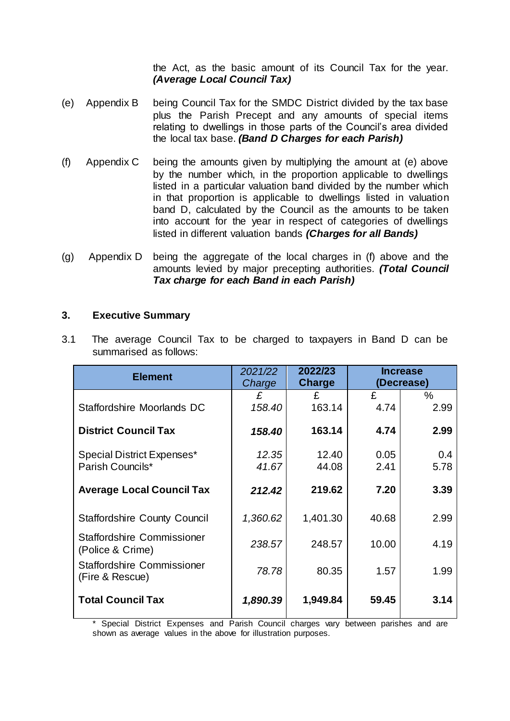the Act, as the basic amount of its Council Tax for the year. *(Average Local Council Tax)*

- (e) Appendix B being Council Tax for the SMDC District divided by the tax base plus the Parish Precept and any amounts of special items relating to dwellings in those parts of the Council's area divided the local tax base. *(Band D Charges for each Parish)*
- (f) Appendix C being the amounts given by multiplying the amount at (e) above by the number which, in the proportion applicable to dwellings listed in a particular valuation band divided by the number which in that proportion is applicable to dwellings listed in valuation band D, calculated by the Council as the amounts to be taken into account for the year in respect of categories of dwellings listed in different valuation bands *(Charges for all Bands)*
- (g) Appendix D being the aggregate of the local charges in (f) above and the amounts levied by major precepting authorities. *(Total Council Tax charge for each Band in each Parish)*

#### **3. Executive Summary**

| <b>Element</b>                                       | 2021/22<br>Charge | 2022/23<br><b>Charge</b> | <b>Increase</b><br>(Decrease) |      |  |
|------------------------------------------------------|-------------------|--------------------------|-------------------------------|------|--|
|                                                      | £                 | £                        | £                             | $\%$ |  |
| Staffordshire Moorlands DC                           | 158.40            | 163.14                   | 4.74                          | 2.99 |  |
| <b>District Council Tax</b>                          | 158.40            | 163.14                   | 4.74                          | 2.99 |  |
| Special District Expenses*                           | 12.35             | 12.40                    | 0.05                          | 0.4  |  |
| Parish Councils*                                     | 41.67             | 44.08                    | 2.41                          | 5.78 |  |
| <b>Average Local Council Tax</b>                     | 212.42            | 219.62                   | 7.20                          | 3.39 |  |
| <b>Staffordshire County Council</b>                  | 1,360.62          | 1,401.30                 | 40.68                         | 2.99 |  |
| Staffordshire Commissioner<br>(Police & Crime)       | 238.57            | 248.57                   | 10.00                         | 4.19 |  |
| <b>Staffordshire Commissioner</b><br>(Fire & Rescue) | 78.78             | 80.35                    | 1.57                          | 1.99 |  |
| <b>Total Council Tax</b>                             | 1,890.39          | 1,949.84                 | 59.45                         | 3.14 |  |

3.1 The average Council Tax to be charged to taxpayers in Band D can be summarised as follows:

Special District Expenses and Parish Council charges vary between parishes and are shown as average values in the above for illustration purposes.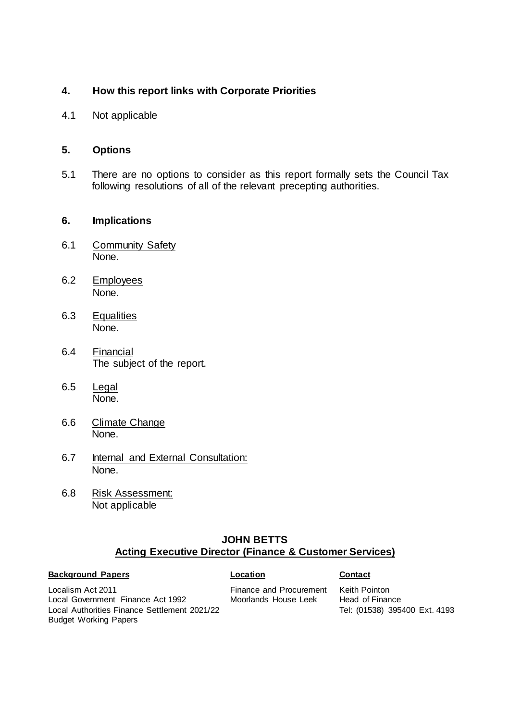#### **4. How this report links with Corporate Priorities**

4.1 Not applicable

#### **5. Options**

5.1 There are no options to consider as this report formally sets the Council Tax following resolutions of all of the relevant precepting authorities.

#### **6. Implications**

- 6.1 Community Safety None.
- 6.2 Employees None.
- 6.3 Equalities None.
- 6.4 Financial The subject of the report.
- 6.5 Legal None.
- 6.6 Climate Change None.
- 6.7 Internal and External Consultation: None.
- 6.8 Risk Assessment: Not applicable

#### **JOHN BETTS Acting Executive Director (Finance & Customer Services)**

#### **Background Papers Contact**

Localism Act 2011 Local Government Finance Act 1992 Local Authorities Finance Settlement 2021/22 Budget Working Papers

Finance and Procurement Moorlands House Leek

Keith Pointon Head of Finance Tel: (01538) 395400 Ext. 4193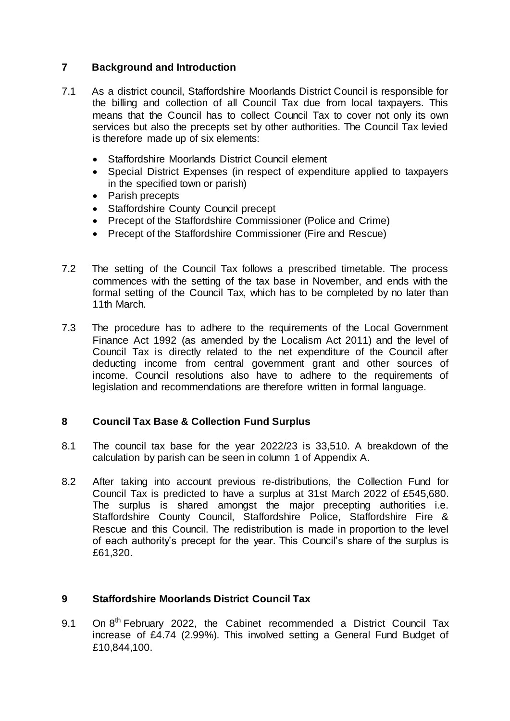### **7 Background and Introduction**

- 7.1 As a district council, Staffordshire Moorlands District Council is responsible for the billing and collection of all Council Tax due from local taxpayers. This means that the Council has to collect Council Tax to cover not only its own services but also the precepts set by other authorities. The Council Tax levied is therefore made up of six elements:
	- Staffordshire Moorlands District Council element
	- Special District Expenses (in respect of expenditure applied to taxpayers in the specified town or parish)
	- Parish precepts
	- Staffordshire County Council precept
	- Precept of the Staffordshire Commissioner (Police and Crime)
	- Precept of the Staffordshire Commissioner (Fire and Rescue)
- 7.2 The setting of the Council Tax follows a prescribed timetable. The process commences with the setting of the tax base in November, and ends with the formal setting of the Council Tax, which has to be completed by no later than 11th March.
- 7.3 The procedure has to adhere to the requirements of the Local Government Finance Act 1992 (as amended by the Localism Act 2011) and the level of Council Tax is directly related to the net expenditure of the Council after deducting income from central government grant and other sources of income. Council resolutions also have to adhere to the requirements of legislation and recommendations are therefore written in formal language.

#### **8 Council Tax Base & Collection Fund Surplus**

- 8.1 The council tax base for the year 2022/23 is 33,510. A breakdown of the calculation by parish can be seen in column 1 of Appendix A.
- 8.2 After taking into account previous re-distributions, the Collection Fund for Council Tax is predicted to have a surplus at 31st March 2022 of £545,680. The surplus is shared amongst the major precepting authorities i.e. Staffordshire County Council, Staffordshire Police, Staffordshire Fire & Rescue and this Council. The redistribution is made in proportion to the level of each authority's precept for the year. This Council's share of the surplus is £61,320.

#### **9 Staffordshire Moorlands District Council Tax**

9.1 On 8<sup>th</sup> February 2022, the Cabinet recommended a District Council Tax increase of £4.74 (2.99%). This involved setting a General Fund Budget of £10,844,100.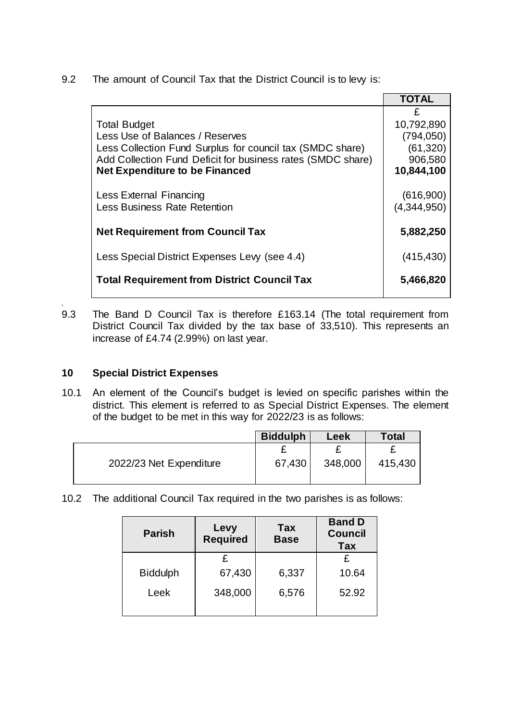9.2 The amount of Council Tax that the District Council is to levy is:

|                                                                                                                                                                                                                             | <b>TOTAL</b>                                                        |
|-----------------------------------------------------------------------------------------------------------------------------------------------------------------------------------------------------------------------------|---------------------------------------------------------------------|
| <b>Total Budget</b><br>Less Use of Balances / Reserves<br>Less Collection Fund Surplus for council tax (SMDC share)<br>Add Collection Fund Deficit for business rates (SMDC share)<br><b>Net Expenditure to be Financed</b> | £<br>10,792,890<br>(794, 050)<br>(61, 320)<br>906,580<br>10,844,100 |
| <b>Less External Financing</b><br><b>Less Business Rate Retention</b>                                                                                                                                                       | (616,900)<br>(4,344,950)                                            |
| <b>Net Requirement from Council Tax</b>                                                                                                                                                                                     | 5,882,250                                                           |
| Less Special District Expenses Levy (see 4.4)                                                                                                                                                                               | (415, 430)                                                          |
| <b>Total Requirement from District Council Tax</b>                                                                                                                                                                          | 5,466,820                                                           |

*.* 9.3 The Band D Council Tax is therefore £163.14 (The total requirement from District Council Tax divided by the tax base of 33,510). This represents an increase of £4.74 (2.99%) on last year.

## **10 Special District Expenses**

10.1 An element of the Council's budget is levied on specific parishes within the district. This element is referred to as Special District Expenses. The element of the budget to be met in this way for 2022/23 is as follows:

|                         | <b>Biddulph</b> | Leek    | Total   |
|-------------------------|-----------------|---------|---------|
|                         |                 |         |         |
| 2022/23 Net Expenditure | 67,430          | 348,000 | 415,430 |
|                         |                 |         |         |

10.2 The additional Council Tax required in the two parishes is as follows:

| <b>Parish</b>   | Levy<br><b>Required</b> | Tax<br><b>Base</b> | <b>Band D</b><br><b>Council</b><br><b>Tax</b> |  |
|-----------------|-------------------------|--------------------|-----------------------------------------------|--|
|                 | £                       |                    | £                                             |  |
| <b>Biddulph</b> | 67,430                  | 6,337              | 10.64                                         |  |
| Leek            | 348,000                 | 6,576              | 52.92                                         |  |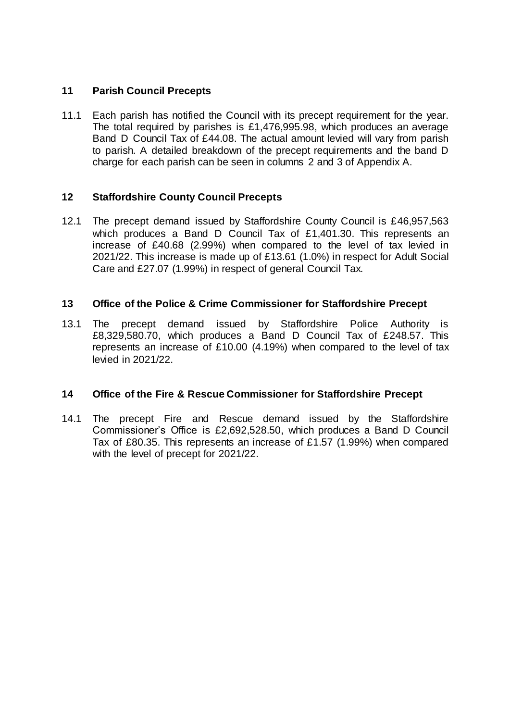### **11 Parish Council Precepts**

11.1 Each parish has notified the Council with its precept requirement for the year. The total required by parishes is £1,476,995.98, which produces an average Band D Council Tax of £44.08. The actual amount levied will vary from parish to parish. A detailed breakdown of the precept requirements and the band D charge for each parish can be seen in columns 2 and 3 of Appendix A.

#### **12 Staffordshire County Council Precepts**

12.1 The precept demand issued by Staffordshire County Council is £46,957,563 which produces a Band D Council Tax of £1,401,30. This represents an increase of £40.68 (2.99%) when compared to the level of tax levied in 2021/22. This increase is made up of £13.61 (1.0%) in respect for Adult Social Care and £27.07 (1.99%) in respect of general Council Tax.

#### **13 Office of the Police & Crime Commissioner for Staffordshire Precept**

13.1 The precept demand issued by Staffordshire Police Authority is £8,329,580.70, which produces a Band D Council Tax of £248.57. This represents an increase of £10.00 (4.19%) when compared to the level of tax levied in 2021/22.

#### **14 Office of the Fire & Rescue Commissioner for Staffordshire Precept**

14.1 The precept Fire and Rescue demand issued by the Staffordshire Commissioner's Office is £2,692,528.50, which produces a Band D Council Tax of £80.35. This represents an increase of £1.57 (1.99%) when compared with the level of precept for 2021/22.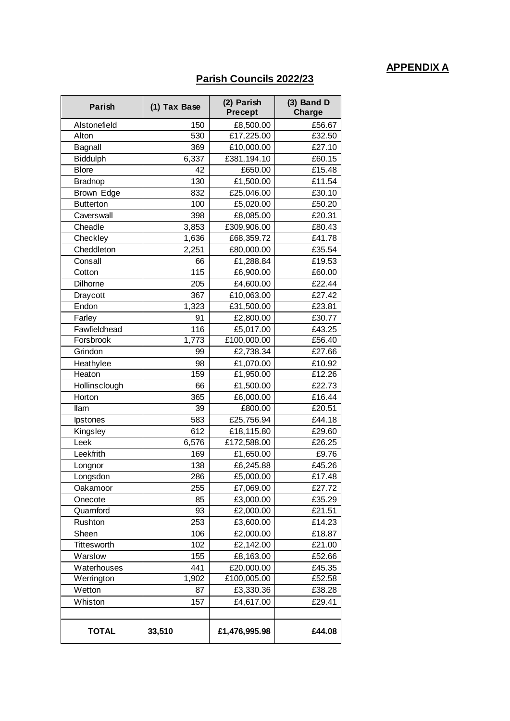# **APPENDIX A**

## **Parish Councils 2022/23**

| Parish           | (1) Tax Base     | (2) Parish<br><b>Precept</b> | $(3)$ Band D<br><b>Charge</b> |
|------------------|------------------|------------------------------|-------------------------------|
| Alstonefield     | 150              | £8,500.00                    | £56.67                        |
| Alton            | 530              | £17,225.00                   | £32.50                        |
| Bagnall          | 369              | £10,000.00                   | £27.10                        |
| <b>Biddulph</b>  | 6,337            | £381,194.10                  | £60.15                        |
| <b>Blore</b>     | 42               | £650.00                      | £15.48                        |
| <b>Bradnop</b>   | 130              | £1,500.00                    | £11.54                        |
| Brown Edge       | 832              | £25,046.00                   | £30.10                        |
| <b>Butterton</b> | 100              | £5,020.00                    | £50.20                        |
| Caverswall       | 398              | £8,085.00                    | £20.31                        |
| Cheadle          | 3,853            | £309,906.00                  | £80.43                        |
| Checkley         | 1,636            | £68,359.72                   | £41.78                        |
| Cheddleton       | 2,251            | £80,000.00                   | £35.54                        |
| Consall          | 66               | £1,288.84                    | £19.53                        |
| Cotton           | $\overline{1}15$ | £6,900.00                    | £60.00                        |
| <b>Dilhorne</b>  | 205              | £4,600.00                    | £22.44                        |
| Draycott         | 367              | £10,063.00                   | £27.42                        |
| Endon            | 1,323            | £31,500.00                   | £23.81                        |
| Farley           | 91               | £2,800.00                    | £30.77                        |
| Fawfieldhead     | 116              | £5,017.00                    | £43.25                        |
| Forsbrook        | 1,773            | £100,000.00                  | £56.40                        |
| Grindon          | 99               | £2,738.34                    | £27.66                        |
| Heathylee        | 98               | £1,070.00                    | £10.92                        |
| Heaton           | 159              | $\overline{£}1,950.00$       | £12.26                        |
| Hollinsclough    | 66               | £1,500.00                    | £22.73                        |
| Horton           | 365              | £6,000.00                    | £16.44                        |
| llam             | 39               | £800.00                      | £20.51                        |
| Ipstones         | 583              | £25,756.94                   | £44.18                        |
| Kingsley         | 612              | £18,115.80                   | £29.60                        |
| Leek             | 6,576            | £172,588.00                  | £26.25                        |
| Leekfrith        | 169              | £1,650.00                    | £9.76                         |
| Longnor          | 138              | £6,245.88                    | £45.26                        |
| Longsdon         | 286              | $\overline{£5}$ ,000.00      | £17.48                        |
| Oakamoor         | 255              | £7,069.00                    | £27.72                        |
| Onecote          | 85               | £3,000.00                    | £35.29                        |
| Quarnford        | 93               | £2,000.00                    | £21.51                        |
| Rushton          | 253              | £3,600.00                    | £14.23                        |
| Sheen            | 106              | £2,000.00                    | £18.87                        |
| Tittesworth      | 102              | £2,142.00                    | £21.00                        |
| Warslow          | 155              | £8,163.00                    | £52.66                        |
| Waterhouses      | 441              | £20,000.00                   | £45.35                        |
| Werrington       | 1,902            | £100,005.00                  | £52.58                        |
| Wetton           | 87               | £3,330.36                    | £38.28                        |
| Whiston          | 157              | £4,617.00                    | £29.41                        |
|                  |                  |                              |                               |
| <b>TOTAL</b>     | 33,510           | £1,476,995.98                | £44.08                        |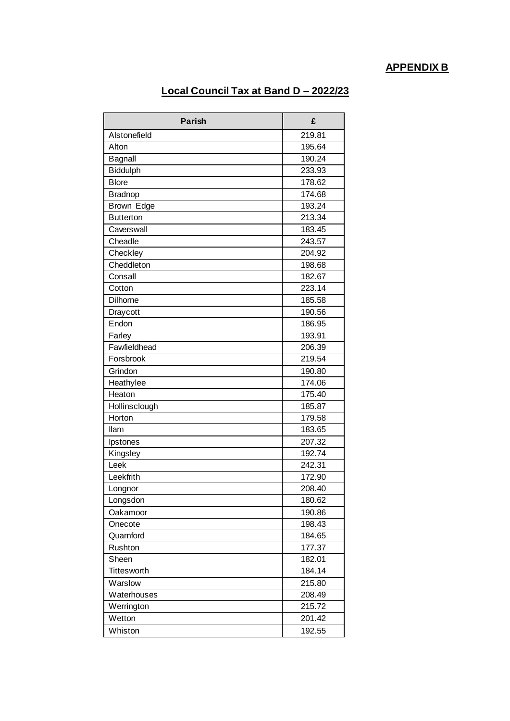# **APPENDIX B**

## **Local Council Tax at Band D – 2022/23**

| <b>Parish</b>    | £      |
|------------------|--------|
| Alstonefield     | 219.81 |
| Alton            | 195.64 |
| Bagnall          | 190.24 |
| <b>Biddulph</b>  | 233.93 |
| <b>Blore</b>     | 178.62 |
| <b>Bradnop</b>   | 174.68 |
| Brown Edge       | 193.24 |
| <b>Butterton</b> | 213.34 |
| Caverswall       | 183.45 |
| Cheadle          | 243.57 |
| Checkley         | 204.92 |
| Cheddleton       | 198.68 |
| Consall          | 182.67 |
| Cotton           | 223.14 |
| <b>Dilhorne</b>  | 185.58 |
| Draycott         | 190.56 |
| Endon            | 186.95 |
| Farley           | 193.91 |
| Fawfieldhead     | 206.39 |
| Forsbrook        | 219.54 |
| Grindon          | 190.80 |
| Heathylee        | 174.06 |
| Heaton           | 175.40 |
| Hollinsclough    | 185.87 |
| Horton           | 179.58 |
| llam             | 183.65 |
| Ipstones         | 207.32 |
| Kingsley         | 192.74 |
| Leek             | 242.31 |
| Leekfrith        | 172.90 |
| Longnor          | 208.40 |
| Longsdon         | 180.62 |
| Oakamoor         | 190.86 |
| Onecote          | 198.43 |
| Quarnford        | 184.65 |
| Rushton          | 177.37 |
| Sheen            | 182.01 |
| Tittesworth      | 184.14 |
| Warslow          | 215.80 |
| Waterhouses      | 208.49 |
| Werrington       | 215.72 |
| Wetton           | 201.42 |
| Whiston          | 192.55 |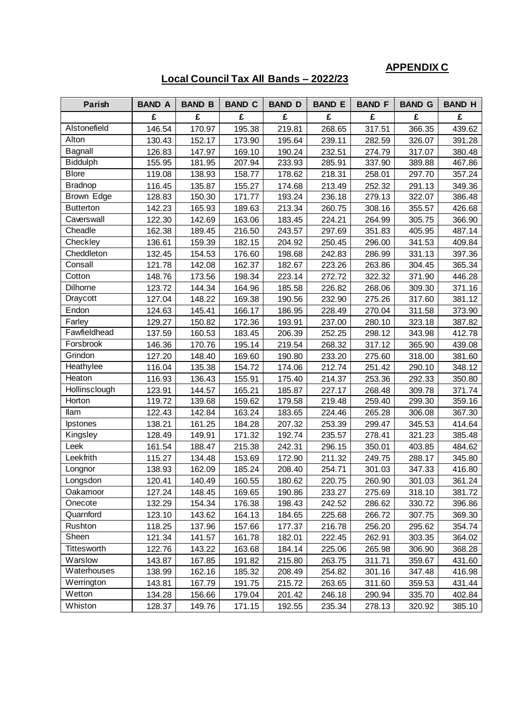# **APPENDIX C**

## **Local Council Tax All Bands – 2022/23**

| Parish           | <b>BAND A</b> | <b>BAND B</b> | <b>BAND C</b> | <b>BAND D</b> | <b>BAND E</b> | <b>BAND F</b> | <b>BAND G</b> | <b>BAND H</b> |
|------------------|---------------|---------------|---------------|---------------|---------------|---------------|---------------|---------------|
|                  | £             | £             | £             | £             | £             | £             | £             | £             |
| Alstonefield     | 146.54        | 170.97        | 195.38        | 219.81        | 268.65        | 317.51        | 366.35        | 439.62        |
| Alton            | 130.43        | 152.17        | 173.90        | 195.64        | 239.11        | 282.59        | 326.07        | 391.28        |
| Bagnall          | 126.83        | 147.97        | 169.10        | 190.24        | 232.51        | 274.79        | 317.07        | 380.48        |
| <b>Biddulph</b>  | 155.95        | 181.95        | 207.94        | 233.93        | 285.91        | 337.90        | 389.88        | 467.86        |
| <b>Blore</b>     | 119.08        | 138.93        | 158.77        | 178.62        | 218.31        | 258.01        | 297.70        | 357.24        |
| <b>Bradnop</b>   | 116.45        | 135.87        | 155.27        | 174.68        | 213.49        | 252.32        | 291.13        | 349.36        |
| Brown Edge       | 128.83        | 150.30        | 171.77        | 193.24        | 236.18        | 279.13        | 322.07        | 386.48        |
| <b>Butterton</b> | 142.23        | 165.93        | 189.63        | 213.34        | 260.75        | 308.16        | 355.57        | 426.68        |
| Caverswall       | 122.30        | 142.69        | 163.06        | 183.45        | 224.21        | 264.99        | 305.75        | 366.90        |
| Cheadle          | 162.38        | 189.45        | 216.50        | 243.57        | 297.69        | 351.83        | 405.95        | 487.14        |
| Checkley         | 136.61        | 159.39        | 182.15        | 204.92        | 250.45        | 296.00        | 341.53        | 409.84        |
| Cheddleton       | 132.45        | 154.53        | 176.60        | 198.68        | 242.83        | 286.99        | 331.13        | 397.36        |
| Consall          | 121.78        | 142.08        | 162.37        | 182.67        | 223.26        | 263.86        | 304.45        | 365.34        |
| Cotton           | 148.76        | 173.56        | 198.34        | 223.14        | 272.72        | 322.32        | 371.90        | 446.28        |
| Dilhorne         | 123.72        | 144.34        | 164.96        | 185.58        | 226.82        | 268.06        | 309.30        | 371.16        |
| Draycott         | 127.04        | 148.22        | 169.38        | 190.56        | 232.90        | 275.26        | 317.60        | 381.12        |
| Endon            | 124.63        | 145.41        | 166.17        | 186.95        | 228.49        | 270.04        | 311.58        | 373.90        |
| Farley           | 129.27        | 150.82        | 172.36        | 193.91        | 237.00        | 280.10        | 323.18        | 387.82        |
| Fawfieldhead     | 137.59        | 160.53        | 183.45        | 206.39        | 252.25        | 298.12        | 343.98        | 412.78        |
| Forsbrook        | 146.36        | 170.76        | 195.14        | 219.54        | 268.32        | 317.12        | 365.90        | 439.08        |
| Grindon          | 127.20        | 148.40        | 169.60        | 190.80        | 233.20        | 275.60        | 318.00        | 381.60        |
| Heathylee        | 116.04        | 135.38        | 154.72        | 174.06        | 212.74        | 251.42        | 290.10        | 348.12        |
| Heaton           | 116.93        | 136.43        | 155.91        | 175.40        | 214.37        | 253.36        | 292.33        | 350.80        |
| Hollinsclough    | 123.91        | 144.57        | 165.21        | 185.87        | 227.17        | 268.48        | 309.78        | 371.74        |
| Horton           | 119.72        | 139.68        | 159.62        | 179.58        | 219.48        | 259.40        | 299.30        | 359.16        |
| llam             | 122.43        | 142.84        | 163.24        | 183.65        | 224.46        | 265.28        | 306.08        | 367.30        |
| <i>lpstones</i>  | 138.21        | 161.25        | 184.28        | 207.32        | 253.39        | 299.47        | 345.53        | 414.64        |
| Kingsley         | 128.49        | 149.91        | 171.32        | 192.74        | 235.57        | 278.41        | 321.23        | 385.48        |
| Leek             | 161.54        | 188.47        | 215.38        | 242.31        | 296.15        | 350.01        | 403.85        | 484.62        |
| Leekfrith        | 115.27        | 134.48        | 153.69        | 172.90        | 211.32        | 249.75        | 288.17        | 345.80        |
| Longnor          | 138.93        | 162.09        | 185.24        | 208.40        | 254.71        | 301.03        | 347.33        | 416.80        |
| Longsdon         | 120.41        | 140.49        | 160.55        | 180.62        | 220.75        | 260.90        | 301.03        | 361.24        |
| Oakamoor         | 127.24        | 148.45        | 169.65        | 190.86        | 233.27        | 275.69        | 318.10        | 381.72        |
| Onecote          | 132.29        | 154.34        | 176.38        | 198.43        | 242.52        | 286.62        | 330.72        | 396.86        |
| Quarnford        | 123.10        | 143.62        | 164.13        | 184.65        | 225.68        | 266.72        | 307.75        | 369.30        |
| Rushton          | 118.25        | 137.96        | 157.66        | 177.37        | 216.78        | 256.20        | 295.62        | 354.74        |
| Sheen            | 121.34        | 141.57        | 161.78        | 182.01        | 222.45        | 262.91        | 303.35        | 364.02        |
| Tittesworth      | 122.76        | 143.22        | 163.68        | 184.14        | 225.06        | 265.98        | 306.90        | 368.28        |
| Warslow          | 143.87        | 167.85        | 191.82        | 215.80        | 263.75        | 311.71        | 359.67        | 431.60        |
| Waterhouses      | 138.99        | 162.16        | 185.32        | 208.49        | 254.82        | 301.16        | 347.48        | 416.98        |
| Werrington       | 143.81        | 167.79        | 191.75        | 215.72        | 263.65        | 311.60        | 359.53        | 431.44        |
| Wetton           | 134.28        | 156.66        | 179.04        | 201.42        | 246.18        | 290.94        | 335.70        | 402.84        |
| Whiston          | 128.37        | 149.76        | 171.15        | 192.55        | 235.34        | 278.13        | 320.92        | 385.10        |